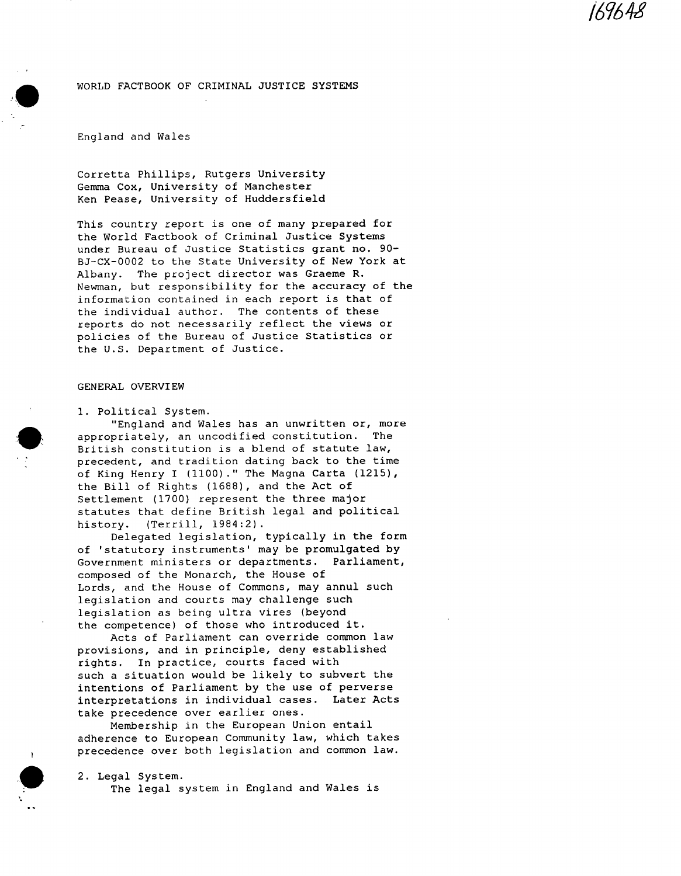169648

## WORLD FACTBOOK OF CRIMINAL JUSTICE SYSTEMS

## England and Wales

Corretta Phillips, Rutgers University Gemma Cox, University of Manchester Ken Pease, University of Huddersfield

This country report is one of many prepared for the World Factbook of Criminal Justice Systems under Bureau of Justice Statistics grant no. 90- BJ-CX-0002 to the State University of New York at Albany. The project director was Graeme R. Newman, but responsibility for the accuracy of the information contained in each report is that of the individual author. The contents of these reports do not necessarily reflect the views or policies of the Bureau of Justice Statistics or the U.S. Department of Justice.

### GENERAL OVERVIEW

I. Political System.

"England and Wales has an unwritten or, more appropriately, an uncodified constitution. The British constitution is a blend of statute law, precedent, and tradition dating back to the time of King Henry I (1100)." The Magna Carta (1215), the Bill of Rights (1688), and the Act of Settlement (1700) represent the three major statutes that define British legal and political history. (Terrill, 1984:2).

Delegated legislation, typically in the form of 'statutory instruments' may be promulgated by Government ministers or departments. Parliament, composed of the Monarch, the House of Lords, and the House of Commons, may annul such legislation and courts may challenge such legislation as being ultra vires (beyond the competence) of those who introduced it.

Acts of Parliament can override common law provisions, and in principle, deny established rights. In practice, courts faced with such a situation would be likely to subvert the intentions of Parliament by the use of perverse interpretations in individual cases. Later Acts take precedence over earlier ones.

Membership in the European Union entail adherence to European Community law, which takes precedence over both legislation and common law.

2. Legal System. The legal system in England and Wales is



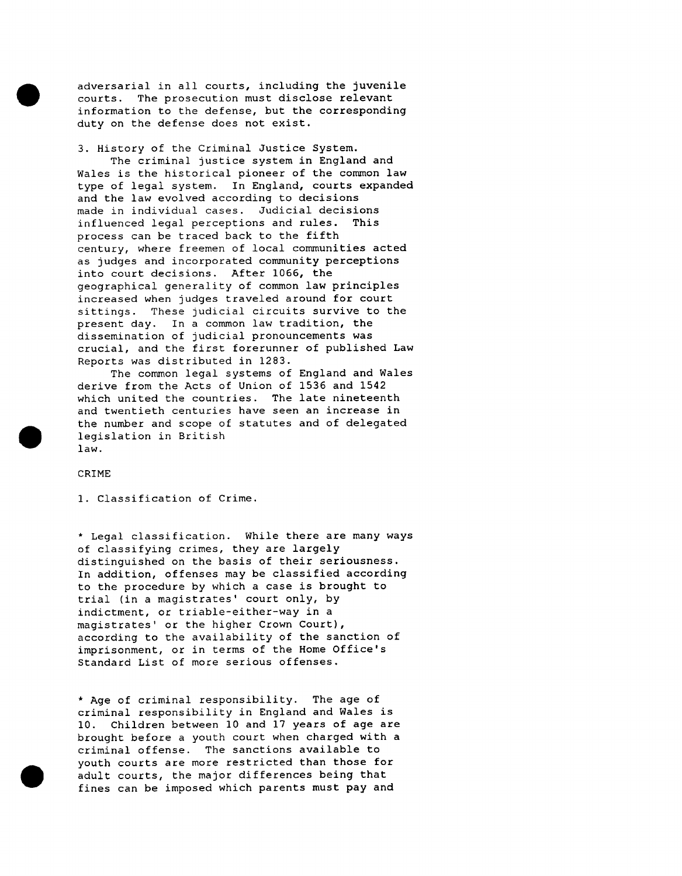adversarial in all courts, including the juvenile courts. The prosecution must disclose relevant information to the defense, but the corresponding duty on the defense does not exist.

3. History of the Criminal Justice System.

The criminal justice system in England and Wales is the historical pioneer of the common law type of legal system. In England, courts expanded and the law evolved according to decisions made in individual cases. Judicial decisions influenced legal perceptions and rules. This process can be traced back to the fifth century, where freemen of local communities acted as judges and incorporated community perceptions into court decisions. After 1066, the geographical generality of common law principles increased when judges traveled around for court sittings. These judicial circuits survive to the present day. In a common law tradition, the dissemination of judicial pronouncements was crucial, and the first forerunner of published Law Reports was distributed in 1283.

The common legal systems of England and Wales derive from the Acts of Union of 1536 and 1542 which united the countries. The late nineteenth and twentieth centuries have seen an increase in the number and scope of statutes and of delegated legislation in British law.

CRIME

I. Classification of Crime.

\* Legal classification. While there are many ways of classifying crimes, they are largely distinguished on the basis of their seriousness. In addition, offenses may be classified according to the procedure by which a case is brought to trial (in a magistrates' court only, by indictment, or triable-either-way in a magistrates' or the higher Crown Court), according to the availability of the sanction of imprisonment, or in terms of the Home Office's Standard List of more serious offenses.

\* Age of criminal responsibility. The age of criminal responsibility in England and Wales is 10. Children between I0 and 17 years of age are brought before a youth court when charged with a criminal offense. The sanctions available to youth courts are more restricted than those for adult courts, the major differences being that fines can be imposed which parents must pay and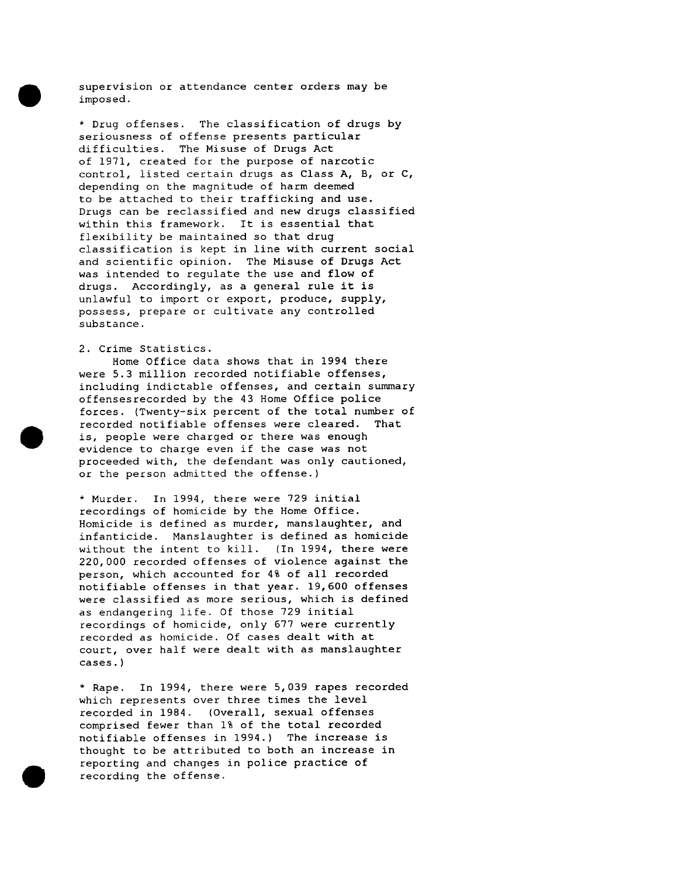supervision or attendance center orders may be imposed.

\* Drug offenses. The classification of drugs by seriousness of offense presents particular difficulties. The Misuse of Drugs Act of 1971, created for the purpose of narcotic control, listed certain drugs as Class A, B, or C, depending on the magnitude of harm deemed to be attached to their trafficking and use. Drugs can be reclassified and new drugs classified within this framework. It is essential that flexibility be maintained so that drug classification is kept in line with current social and scientific opinion. The Misuse of Drugs Act was intended to regulate the use and flow of drugs. Accordingly, as a general rule it is unlawful to import or export, produce, supply, possess, prepare or cultivate any controlled substance.

# 2. Crime Statistics.

Home Office data shows that in 1994 there were 5.3 million recorded notifiable offenses, including indictable offenses, and certain summary offensesrecorded by the 43 Home Office police forces. (Twenty-six percent of the total number of recorded notifiable offenses were cleared. That is, people were charged or there was enough evidence to charge even if the case was not proceeded with, the defendant was only cautioned, or the person admitted the offense.)

\* Murder. In 1994, there were 729 initial recordings of homicide by the Home Office. Homicide is defined as murder, manslaughter, and infanticide. Manslaughter is defined as homicide without the intent to kill. (In 1994, there were 220,000 recorded offenses of violence against the person, which accounted for 4% of all recorded notifiable offenses in that year. 19,600 offenses were classified as more serious, which is defined as endangering life. Of those 729 initial recordings of homicide, only 677 were currently recorded as homicide. Of cases dealt with at court, over half were dealt with as manslaughter cases.)

\* Rape. In 1994, there were 5,039 rapes recorded which represents over three times the level recorded in 1984. (Overall, sexual offenses comprised fewer than 1% of the total recorded notifiable offenses in 1994.) The increase is thought to be attributed to both an increase in reporting and changes in police practice of recording the offense.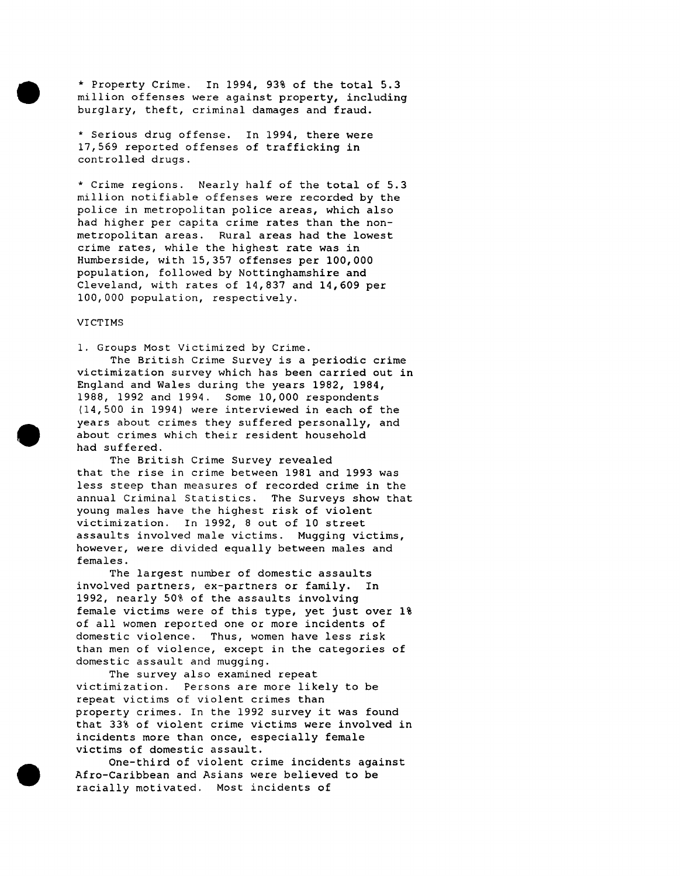\* Property Crime. In 1994, 93% of the total 5.3 million offenses were against property, including burglary, theft, criminal damages and fraud.

\* Serious drug offense. In 1994, there were 17,569 reported offenses of trafficking in controlled drugs.

\* Crime regions. Nearly half of the total of 5.3 million notifiable offenses were recorded by the police in metropolitan police areas, which also had higher per capita crime rates than the nonmetropolitan areas. Rural areas had the lowest crime rates, while the highest rate was in Humberside, with 15,357 offenses per 100,000 population, followed by Nottinghamshire and Cleveland, with rates of 14,837 and 14,609 per 100,000 population, respectively.

# VICTIMS

I. Groups Most Victimized by Crime. The British Crime Survey is a periodic crime victimization survey which has been carried out in England and Wales during the years 1982, 1984, 1988, 1992 and 1994. Some i0,000 respondents (14,500 in 1994) were interviewed in each of the years about crimes they suffered personally, and about crimes which their resident household had suffered.

The British Crime Survey revealed that the rise in crime between 1981 and 1993 was less steep than measures of recorded crime in the annual Criminal Statistics. The Surveys show that young males have the highest risk of violent victimization. In 1992, 8 out of 10 street assaults involved male victims. Mugging victims, however, were divided equally between males and females.

The largest number of domestic assaults involved partners, ex-partners or family. In 1992, nearly 50% of the assaults involving female victims were of this type, yet just over 1% of all women reported one or more incidents of domestic violence. Thus, women have less risk than men of violence, except in the categories of domestic assault and mugging.

The survey also examined repeat victimization. Persons are more likely to be repeat victims of violent crimes than property crimes. In the 1992 survey it was found that 33% of violent crime victims were involved in incidents more than once, especially female victims of domestic assault.

One-third of violent crime incidents against Afro-Caribbean and Asians were believed to be racially motivated. Most incidents of





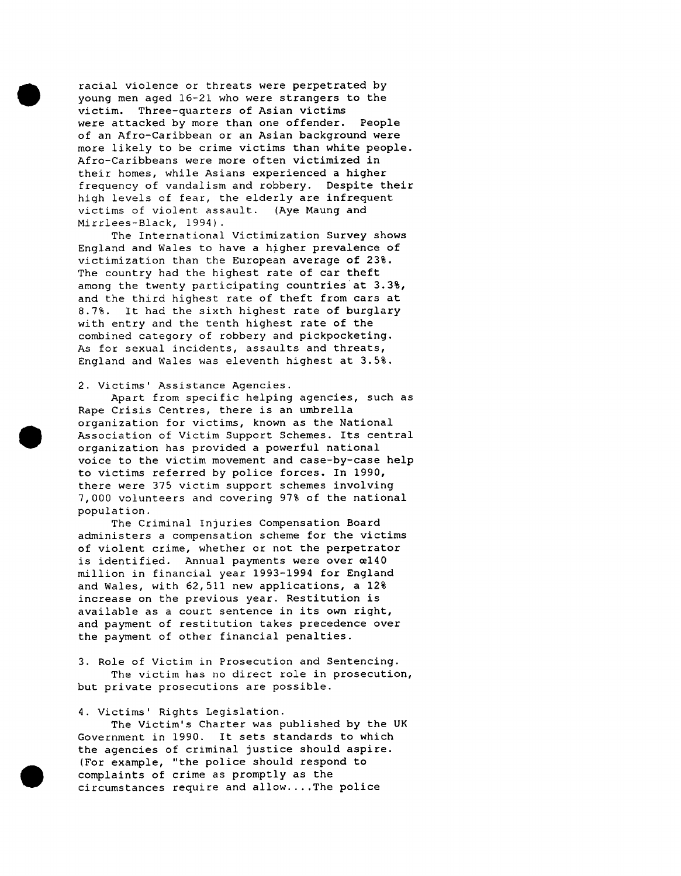racial violence or threats were perpetrated by young men aged 16-21 who were strangers to the victim. Three-quarters of Asian victims were attacked by more than one offender. People of an Afro-Caribbean or an Asian background were more likely to be crime victims than white people. Afro-Caribbeans were more often victimized in their homes, while Asians experienced a higher frequency of vandalism and robbery. Despite their high levels of fear, the elderly are infrequent victims of violent assault. (Aye Maung and Mirrlees-Black, 1994).

The International Victimization Survey shows England and Wales to have a higher prevalence of victimization than the European average of 23%. The country had the highest rate of car theft among the twenty participating countries at 3.3%, and the third highest rate of theft from cars at 8.7%. It had the sixth highest rate of burglary with entry and the tenth highest rate of the combined category of robbery and pickpocketing. As for sexual incidents, assaults and threats, England and Wales was eleventh highest at 3.5%.

### 2. Victims' Assistance Agencies.

Apart from specific helping agencies, such as Rape Crisis Centres, there is an umbrella organization for victims, known as the National Association of Victim Support Schemes. Its central organization has provided a powerful national voice to the victim movement and case-by-case help to victims referred by police forces. In 1990, there were 375 victim support schemes involving 7,000 volunteers and covering 97% of the national population.

The Criminal Injuries Compensation Board administers a compensation scheme for the victims of violent crime, whether or not the perpetrator is identified. Annual payments were over  $æ140$ million in financial year 1993-1994 for England and Wales, with 62,511 new applications, a 12% increase on the previous year. Restitution is available as a court sentence in its own right, and payment of restitution takes precedence over the payment of other financial penalties.

3. Role of Victim in Prosecution and Sentencing. The victim has no direct role in prosecution, but private prosecutions are possible.

## 4. Victims' Rights Legislation.

The Victim's Charter was published by the UK Government in 1990. It sets standards to which the agencies of criminal justice should aspire. (For example, "the police should respond to complaints of crime as promptly as the circumstances require and allow....The police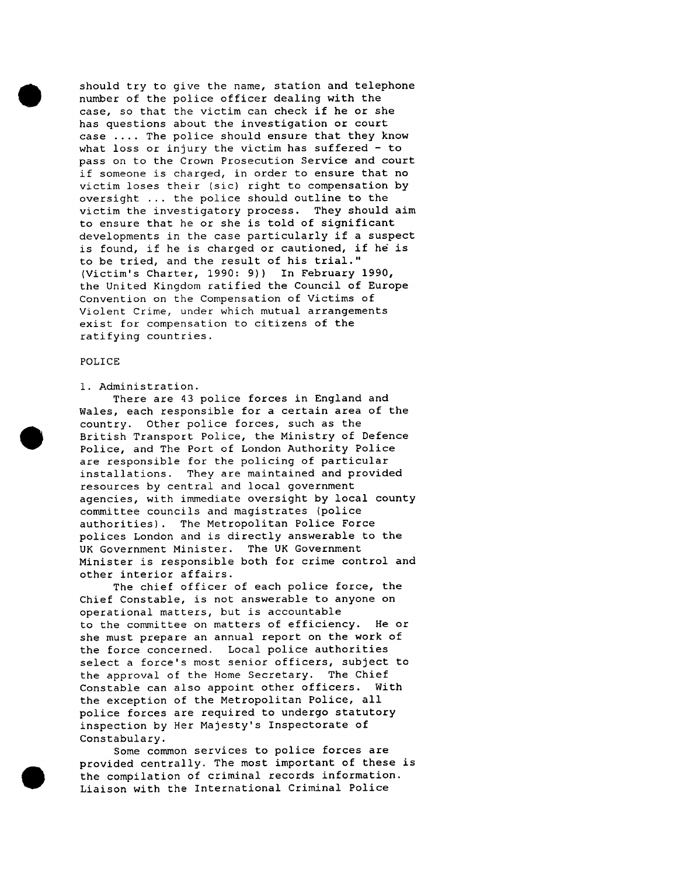should try to give the name, station and telephone number of the police officer dealing with the case, so that the victim can check if he or she has questions about the investigation or court case .... The police should ensure that they know what loss or injury the victim has suffered  $-$  to pass on to the Crown Prosecution Service and court if someone is charged, in order to ensure that no victim loses their (sic) right to compensation by oversight ... the police should outline to the victim the investigatory process. They should aim to ensure that he or she is told of significant developments in the case particularly if a suspect is found, if he is charged or cautioned, if he is to be tried, and the result of his trial." (Victim's Charter, 1990: 9)) In February 1990, the United Kingdom ratified the Council of Europe Convention on the Compensation of Victims of Violent Crime, under which mutual arrangements exist for compensation to citizens of the ratifying countries.

#### POLICE

## i. Administration.

There are 43 police forces in England and Wales, each responsible for a certain area of the country. Other police forces, such as the British Transport Police, the Ministry of Defence Police, and The Port of London Authority Police are responsible for the policing of particular installations. They are maintained and provided resources by central and local government agencies, with immediate oversight by local county committee councils and magistrates (police authorities). The Metropolitan Police Force polices London and is directly answerable to the UK Government Minister. The UK Government Minister is responsible both for crime control and other interior affairs.

The chief officer of each police force, the Chief Constable, is not answerable to anyone on operational matters, but is accountable to the committee on matters of efficiency. He or she must prepare an annual report on the work of the force concerned. Local police authorities select a force's most senior officers, subject to the approval of the Home Secretary. The Chief Constable can also appoint other officers. With the exception of the Metropolitan Police, all police forces are required to undergo statutory inspection by Her Majesty's Inspectorate of Constabulary.

Some common services to police forces are provided centrally. The most important of these is the compilation of criminal records information. Liaison with the International Criminal Police

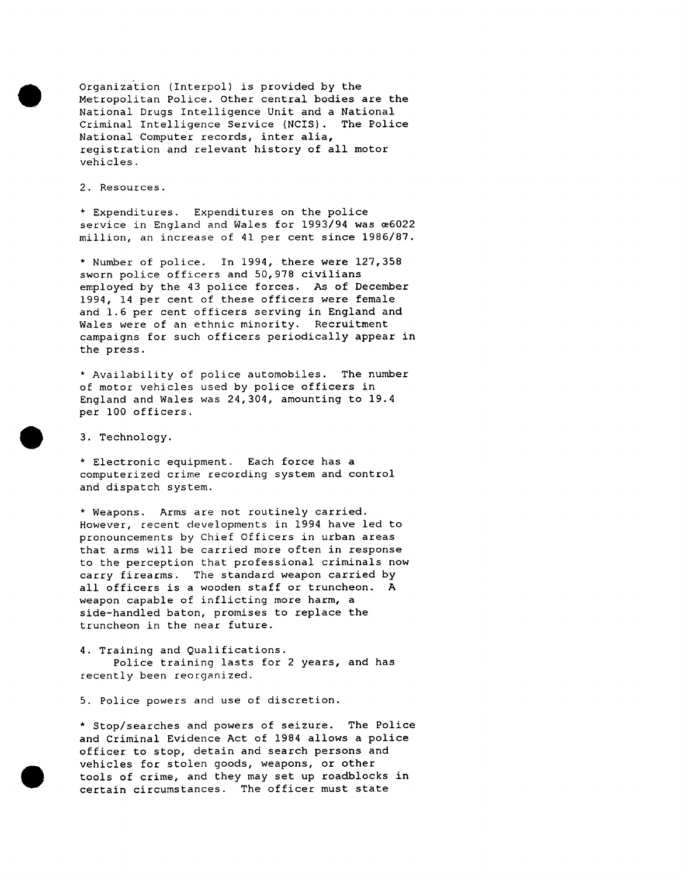Organization (Interpol) is provided by the Metropolitan Police. Other central bodies are the National Drugs Intelligence Unit and a National Criminal Intelligence Service (NCIS). The Police National Computer records, inter alia, registration and relevant history of all motor vehicles.

2. Resources.

\* Expenditures. Expenditures on the police service in England and Wales for 1993/94 was e6022 million, an increase of 41 per cent since 1986/87.

\* Number of police. In 1994, there were 127,358 sworn police officers and 50,978 civilians employed by the 43 police forces. As of December 1994, 14 per cent of these officers were female and 1.6 per cent officers serving in England and Wales were of an ethnic minority. Recruitment campaigns for such officers periodically appear in the press.

\* Availability of police automobiles. The number of motor vehicles used by police officers in England and Wales was 24,304, amounting to 19.4 per i00 officers.

3. Technology.

\* Electronic equipment. Each force has a computerized crime recording system and control and dispatch system.

\* Weapons. Arms are not routinely carried. However, recent developments in 1994 have led to pronouncements by Chief Officers in urban areas that arms will be carried more often in response to the perception that professional criminals now carry firearms. The standard weapon carried by all officers is a wooden staff or truncheon. A weapon capable of inflicting more harm, a side-handled baton, promises to replace the truncheon in the near future.

4. Training and Qualifications. Police training lasts for 2 years, and has recently been reorganized.

5. Police powers and use of discretion.

\* Stop/searches and powers of seizure. The Police and Criminal Evidence Act of 1984 allows a police officer to stop, detain and search persons and vehicles for stolen goods, weapons, or other tools of crime, and they may set up roadblocks in certain circumstances. The officer must state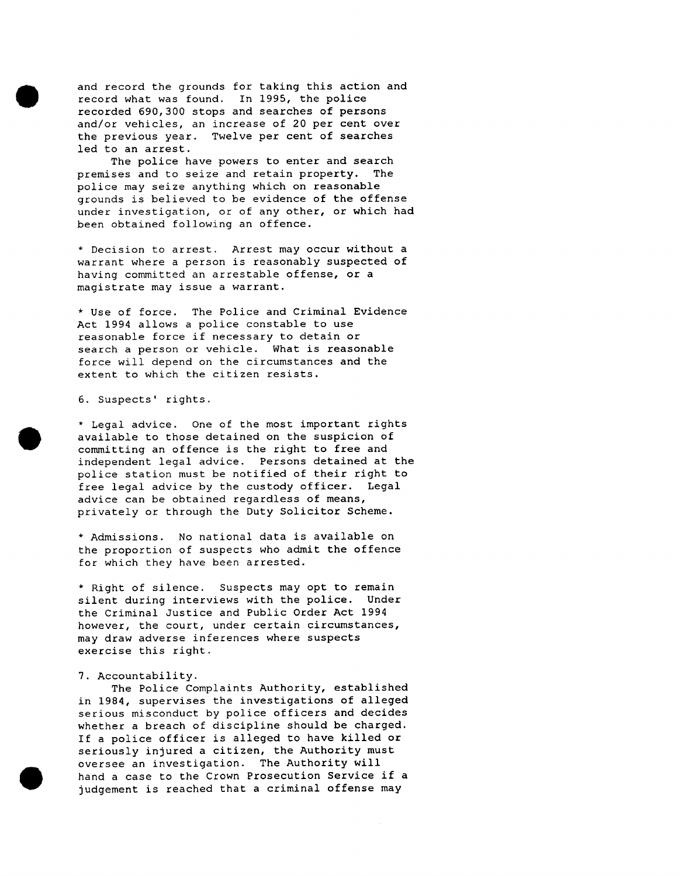and record the grounds for taking this action and record what was found. In 1995, the police recorded 690,300 stops and searches of persons and/or vehicles, an increase of 20 per cent over the previous year. Twelve per cent of searches led to an arrest.

The police have powers to enter and search premises and to seize and retain property. The police may seize anything which on reasonable grounds is believed to be evidence of the offense under investigation, or of any other, or which had been obtained following an offence.

\* Decision to arrest. Arrest may occur without a warrant where a person is reasonably suspected of having committed an arrestable offense, or a magistrate may issue a warrant.

\* Use of force. The Police and Criminal Evidence Act 1994 allows a police constable to use reasonable force if necessary to detain or search a person or vehicle. What is reasonable force will depend on the circumstances and the extent to which the citizen resists.

6. Suspects' rights.

\* Legal advice. One of the most important rights available to those detained on the suspicion of committing an offence is the right to free and independent legal advice. Persons detained at the police station must be notified of their right to free legal advice by the custody officer. Legal advice can be obtained regardless of means, privately or through the Duty Solicitor Scheme.

\* Admissions. No national data is available on the proportion of suspects who admit the offence for which they have been arrested.

\* Right of silence. Suspects may opt to remain silent during interviews with the police. Under the Criminal Justice and Public Order Act 1994 however, the court, under certain circumstances, may draw adverse inferences where suspects exercise this right.

#### 7. Accountability.

The Police Complaints Authority, established in 1984, supervises the investigations of alleged serious misconduct by police officers and decides whether a breach of discipline should be charged. If a police officer is alleged to have killed or seriously injured a citizen, the Authority must oversee an investigation. The Authority will hand a case to the Crown Prosecution Service if a judgement is reached that a criminal offense may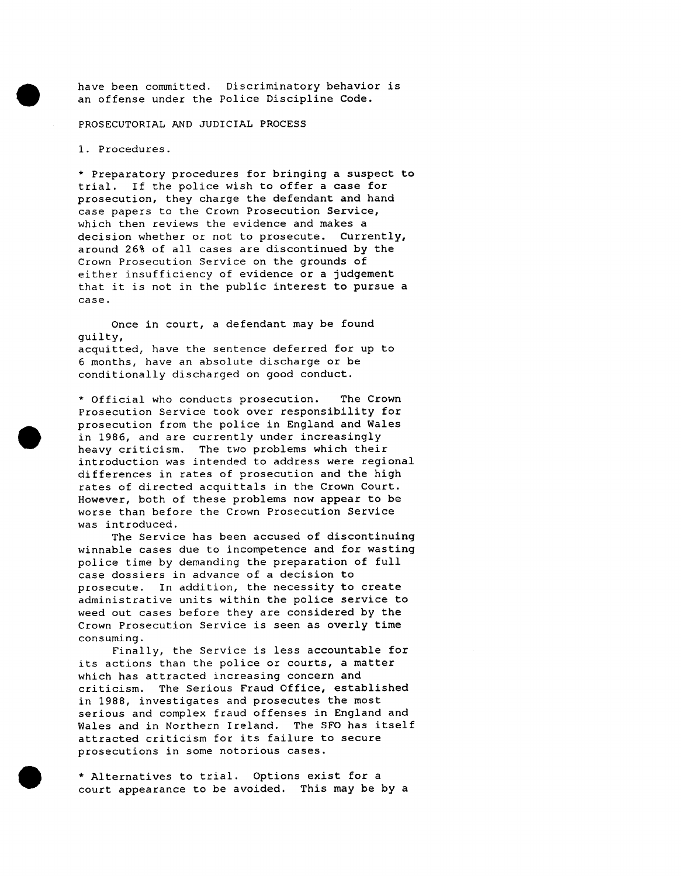have been committed. Discriminatory behavior is an offense under the Police Discipline Code.

### PROSECUTORIAL AND JUDICIAL PROCESS

i. Procedures.

\* Preparatory procedures for bringing a suspect to trial. If the police wish to offer a case for prosecution, they charge the defendant and hand case papers to the Crown Prosecution Service, which then reviews the evidence and makes a decision whether or not to prosecute. Currently, around 26% of all cases are discontinued by the Crown Prosecution Service on the grounds of either insufficiency of evidence or a judgement that it is not in the public interest to pursue a case.

Once in court, a defendant may be found guilty, acquitted, have the sentence deferred for up to 6 months, have an absolute discharge or be conditionally discharged on good conduct.

\* Official who conducts prosecution. The Crown Prosecution Service took over responsibility for prosecution from the police in England and Wales in 1986, and are currently under increasingly heavy criticism. The two problems which their introduction was intended to address were regional differences in rates of prosecution and the high rates of directed acquittals in the Crown Court. However, both of these problems now appear to be worse than before the Crown Prosecution Service was introduced.

The Service has been accused of discontinuing winnable cases due to incompetence and for wasting police time by demanding the preparation of full case dossiers in advance of a decision to prosecute. In addition, the necessity to create administrative units within the police service to weed out cases before they are considered by the Crown Prosecution Service is seen as overly time consuming.

Finally, the Service is less accountable for its actions than the police or courts, a matter which has attracted increasing concern and criticism. The Serious Fraud Office, established in 1988, investigates and prosecutes the most serious and complex fraud offenses in England and Wales and in Northern Ireland. The SFO has itself attracted criticism for its failure to secure prosecutions in some notorious cases.

\* Alternatives to trial. Options exist for a court appearance to be avoided. This may be by a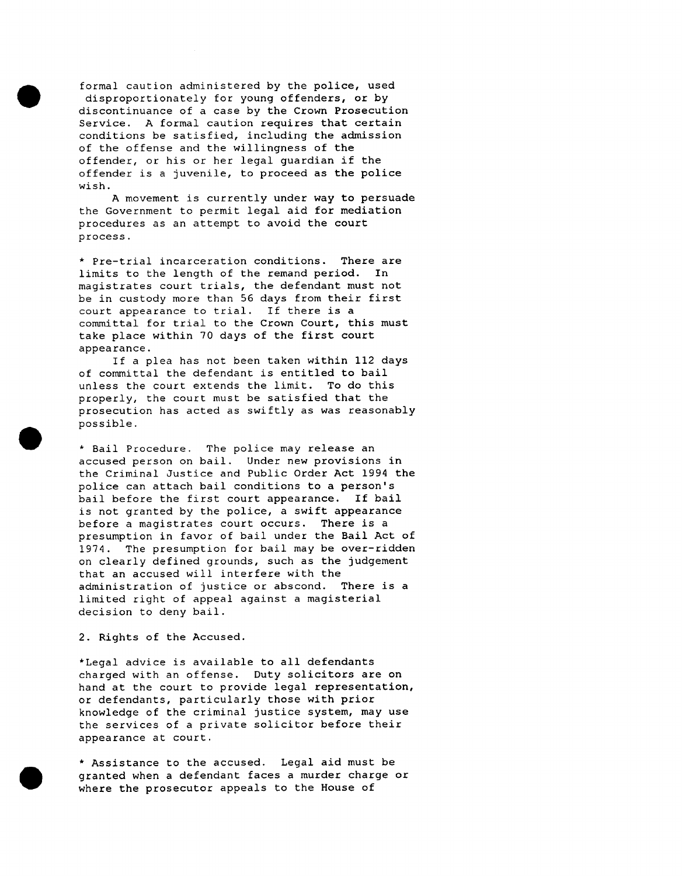formal caution administered by the police, used disproportionately for young offenders, or by discontinuance of a case by the Crown Prosecution Service. A formal caution requires that certain conditions be satisfied, including the admission of the offense and the willingness of the offender, or his or her legal guardian if the offender is a juvenile, to proceed as the police wish.

A movement is currently under way to persuade the Government to permit legal aid for mediation procedures as an attempt to avoid the court process.

\* Pre-trial incarceration conditions. There are limits to the length of the remand period. In magistrates court trials, the defendant must not be in custody more than 56 days from their first court appearance to trial. If there is a committal for trial to the Crown Court, this must take place within 70 days of the first court appearance.

If a plea has not been taken within 112 days of committal the defendant is entitled to bail unless the court extends the limit. To do this properly, the court must be satisfied that the prosecution has acted as swiftly as was reasonably possible.

\* Bail Procedure. The police may release an accused person on bail. Under new provisions in the Criminal Justice and Public Order Act 1994 the police can attach bail conditions to a person's bail before the first court appearance. If bail is not granted by the police, a swift appearance before a magistrates court occurs. There is a presumption in favor of bail under the Bail Act of 1974. The presumption for bail may be over-ridden on clearly defined grounds, such as the judgement that an accused will interfere with the administration of justice or abscond. There is a limited right of appeal against a magisterial decision to deny bail.

2. Rights of the Accused.

\*Legal advice is available to all defendants charged with an offense. Duty solicitors are on hand at the court to provide legal representation, or defendants, particularly those with prior knowledge of the criminal justice system, may use the services of a private solicitor before their appearance at court.

\* Assistance to the accused. Legal aid must be granted when a defendant faces a murder charge or where the prosecutor appeals to the House of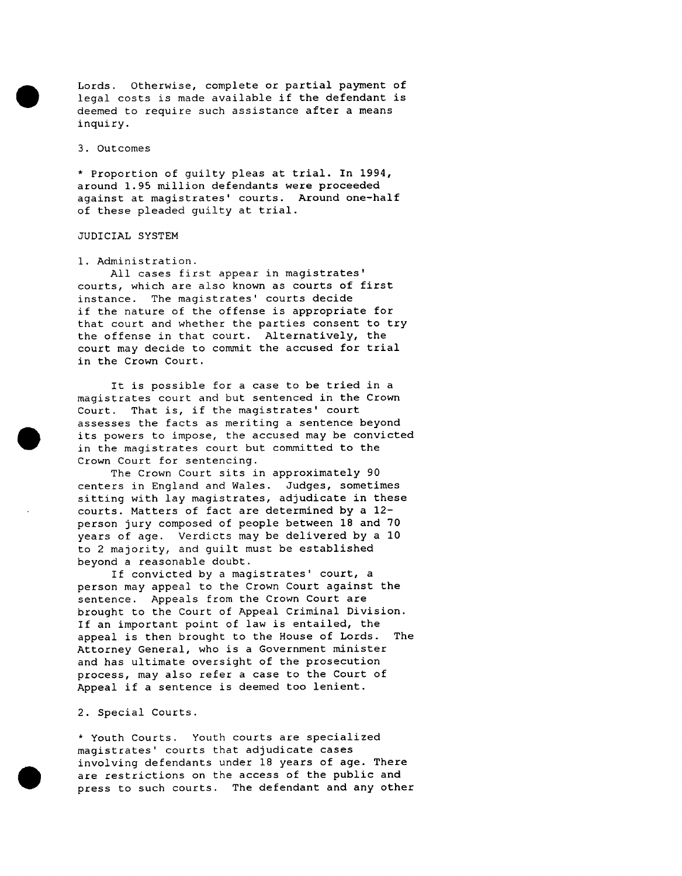Lords. Otherwise, complete or partial payment of legal costs is made available if the defendant is deemed to require such assistance after a means inquiry.

3. Outcomes

\* Proportion of guilty pleas at trial. In 1994, around 1.95 million defendants were proceeded against at magistrates' courts. Around one-half of these pleaded guilty at trial.

#### JUDICIAL SYSTEM

#### i. Administration.

All cases first appear in magistrates' courts, which are also known as courts of first instance. The magistrates' courts decide if the nature of the offense is appropriate for that court and whether the parties consent to try the offense in that court. Alternatively, the court may decide to commit the accused for trial in the Crown Court.

It is possible for a case to be tried in a magistrates court and but sentenced in the Crown Court. That is, if the magistrates' court assesses the facts as meriting a sentence beyond its powers to impose, the accused may be convicted in the magistrates court but committed to the Crown Court for sentencing.

The Crown Court sits in approximately 90 centers in England and Wales. Judges, sometimes sitting with lay magistrates, adjudicate in these courts. Matters of fact are determined by a 12 person jury composed of people between 18 and 70 years of age. Verdicts may be delivered by a 10 to 2 majority, and guilt must be established beyond a reasonable doubt.

If convicted by a magistrates' court, a person may appeal to the Crown Court against the sentence. Appeals from the Crown Court are brought to the Court of Appeal Criminal Division. If an important point of law is entailed, the appeal is then brought to the House of Lords. The Attorney General, who is a Government minister and has ultimate oversight of the prosecution process, may also refer a case to the Court of Appeal if a sentence is deemed too lenient.

### 2. Special Courts.

\* Youth Courts. Youth courts are specialized magistrates' courts that adjudicate cases involving defendants under 18 years of age. There are restrictions on the access of the public and press to such courts. The defendant and any other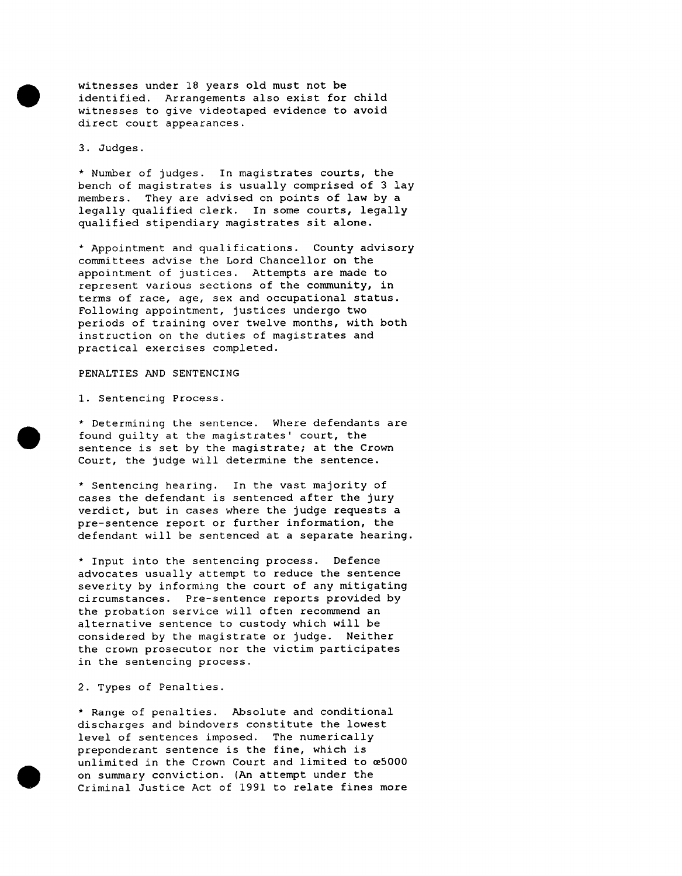witnesses under 18 years old must not be identified. Arrangements also exist for child witnesses to give videotaped evidence to avoid direct court appearances.

3. Judges.

\* Number of judges. In magistrates courts, the bench of magistrates is usually comprised of 3 lay members. They are advised on points of law by a legally qualified clerk. In some courts, legally qualified stipendiary magistrates sit alone.

\* Appointment and qualifications. County advisory committees advise the Lord Chancellor on the appointment of justices. Attempts are made to represent various sections of the community, in terms of race, age, sex and occupational status. Following appointment, justices undergo two periods of training over twelve months, with both instruction on the duties of magistrates and practical exercises completed.

## PENALTIES AND SENTENCING

I. Sentencing Process.

\* Determining the sentence. Where defendants are found guilty at the magistrates' court, the sentence is set by the magistrate; at the Crown Court, the judge will determine the sentence.

\* Sentencing hearing. In the vast majority of cases the defendant is sentenced after the jury verdict, but in cases where the judge requests a pre-sentence report or further information, the defendant will be sentenced at a separate hearing.

\* Input into the sentencing process. Defence advocates usually attempt to reduce the sentence severity by informing the court of any mitigating circumstances. Pre-sentence reports provided by the probation service will often recommend an alternative sentence to custody which will be considered by the magistrate or judge. Neither the crown prosecutor nor the victim participates in the sentencing process.

2. Types of Penalties.

\* Range of penalties. Absolute and conditional discharges and bindovers constitute the lowest level of sentences imposed. The numerically preponderant sentence is the fine, which is unlimited in the Crown Court and limited to  $\infty$ 5000 on summary conviction. (An attempt under the Criminal Justice Act of 1991 to relate fines more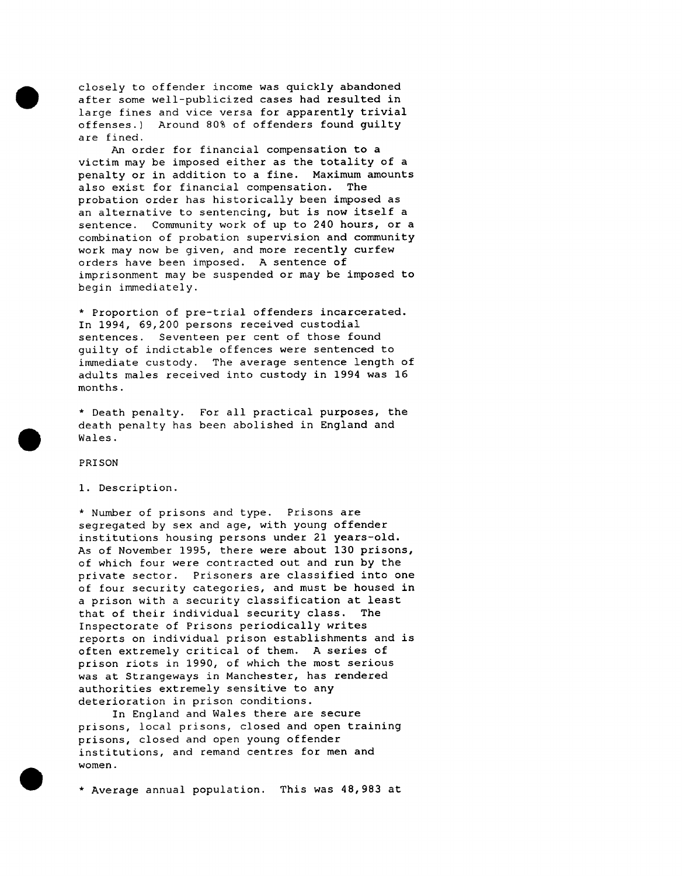closely to offender income was quickly abandoned after some well-publicized cases had resulted in large fines and vice versa for apparently trivial offenses.) Around 80% of offenders found guilty are fined.

An order for financial compensation to a victim may be imposed either as the totality of a penalty or in addition to a fine. Maximum amounts also exist for financial compensation. The probation order has historically been imposed as an alternative to sentencing, but is now itself a sentence. Community work of up to 240 hours, or a combination of probation supervision and community work may now be given, and more recently curfew orders have been imposed. A sentence of imprisonment may be suspended or may be imposed to begin immediately.

\* Proportion of pre-trial offenders incarcerated. In 1994, 69,200 persons received custodial sentences. Seventeen per cent of those found guilty of indictable offences were sentenced to immediate custody. The average sentence length of adults males received into custody in 1994 was 16 months.

\* Death penalty. For all practical purposes, the death penalty has been abolished in England and Wales.

PRISON

1. Description.

\* Number of prisons and type. Prisons are segregated by sex and age, with young offender institutions housing persons under 21 years-old. As of November 1995, there were about 130 prisons, of which four were contracted out and run by the private sector. Prisoners are classified into one of four security categories, and must be housed in a prison with a security classification at least that of their individual security class. The Inspectorate of Prisons periodically writes reports on individual prison establishments and is often extremely critical of them. A series of prison riots in 1990, of which the most serious was at Strangeways in Manchester, has rendered authorities extremely sensitive to any deterioration in prison conditions.

In England and Wales there are secure prisons, local prisons, closed and open training prisons, closed and open young offender institutions, and remand centres for men and women.

\* Average annual population. This was 48,983 at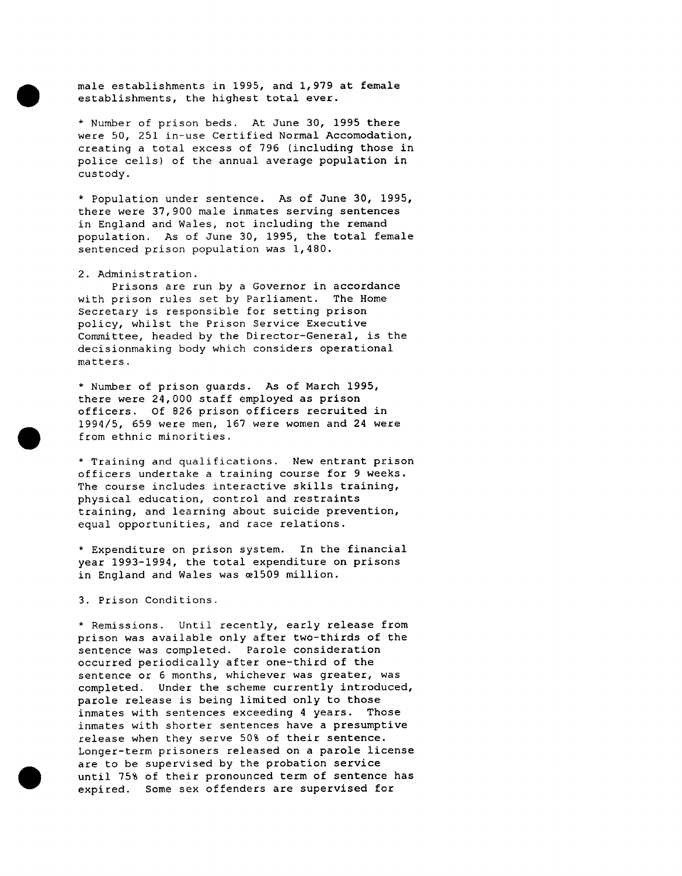male establishments in 1995, and 1,979 at female establishments, the highest total ever.

\* Number of prison beds. At June 30, 1995 there were 50, 251 in-use Certified Normal Accomodation, creating a total excess of 796 (including those in police cells) of the annual average population in custody.

\* Population under sentence. As of June 30, 1995, there were 37,900 male inmates serving sentences in England and Wales, not including the remand population. As of June 30, 1995, the total female sentenced prison population was 1,480.

#### 2. Administration.

Prisons are run by a Governor in accordance with prison rules set by Parliament. The Home Secretary is responsible for setting prison policy, whilst the Prison Service Executive Committee, headed by the Director-General, is the decisionmaking body which considers operational matters.

\* Number of prison guards. As of March 1995, there were 24,000 staff employed as prison officers. Of 826 prison officers recruited in 1994/5, 659 were men, 167 were women and 24 were from ethnic minorities.

\* Training and qualifications. New entrant prison officers undertake a training course for 9 weeks. The course includes interactive skills training, physical education, control and restraints training, and learning about suicide prevention, equal opportunities, and race relations.

\* Expenditure on prison system. In the financial year 1993-1994, the total expenditure on prisons in England and Wales was e1509 million.

3. Prison Conditions.

\* Remissions. Until recently, early release from prison was available only after two-thirds of the sentence was completed. Parole consideration occurred periodically after one-third of the sentence or 6 months, whichever was greater, was completed. Under the scheme currently introduced, parole release is being limited only to those inmates with sentences exceeding 4 years. Those inmates with shorter sentences have a presumptive release when they serve 50% of their sentence. Longer-term prisoners released on a parole license are to be supervised by the probation service until 75% of their pronounced term of sentence has expired. Some sex offenders are supervised for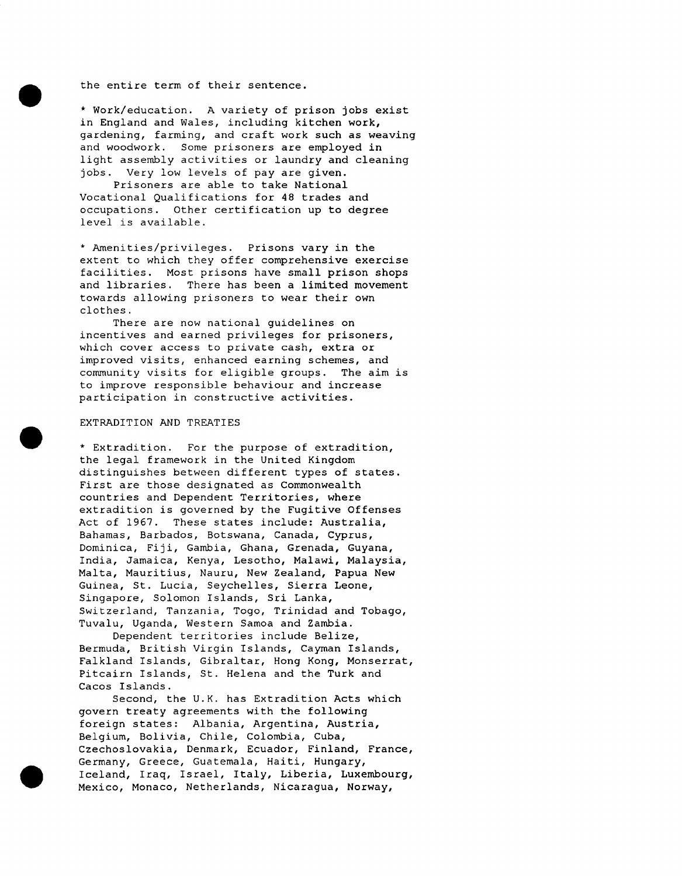the entire term of their sentence.

\* Work/education. A variety of prison jobs exist in England and Wales, including kitchen work, gardening, farming, and craft work such as weaving and woodwork. Some prisoners are employed in light assembly activities or laundry and cleaning jobs. Very low levels of pay are given.

Prisoners are able to take National Vocational Qualifications for 48 trades and occupations. Other certification up to degree level is available.

\* Amenities/privileges. Prisons vary in the extent to which they offer comprehensive exercise facilities. Most prisons have small prison shops and libraries. There has been a limited movement towards allowing prisoners to wear their own clothes.

There are now national guidelines on incentives and earned privileges for prisoners, which cover access to private cash, extra or improved visits, enhanced earning schemes, and community visits for eligible groups. The aim is to improve responsible behaviour and increase participation in constructive activities.

## EXTRADITION AND TREATIES

\* Extradition. For the purpose of extradition, the legal framework in the United Kingdom distinguishes between different types of states. First are those designated as Commonwealth countries and Dependent Territories, where extradition is governed by the Fugitive Offenses Act of 1967. These states include: Australia, Bahamas, Barbados, Botswana, Canada, Cyprus, Dominica, Fiji, Gambia, Ghana, Grenada, Guyana, India, Jamaica, Kenya, Lesotho, Malawi, Malaysia, Malta, Mauritius, Nauru, New Zealand, Papua New Guinea, St. Lucia, Seychelles, Sierra Leone, Singapore, Solomon Islands, Sri Lanka, Switzerland, Tanzania, Togo, Trinidad and Tobago, Tuvalu, Uganda, Western Samoa and Zambia.

Dependent territories include Belize, Bermuda, British Virgin Islands, Cayman Islands, Falkland Islands, Gibraltar, Hong Kong, Monserrat, Pitcairn Islands, St. Helena and the Turk and Cacos Islands.

Second, the U.K. has Extradition Acts which govern treaty agreements with the following foreign states: Albania, Argentina, Austria, Belgium, Bolivia, Chile, Colombia, Cuba, Czechoslovakia, Denmark, Ecuador, Finland, France, Germany, Greece, Guatemala, Haiti, Hungary, Iceland, Iraq, Israel, Italy, Liberia, Luxembourg, Mexico, Monaco, Netherlands, Nicaragua, Norway,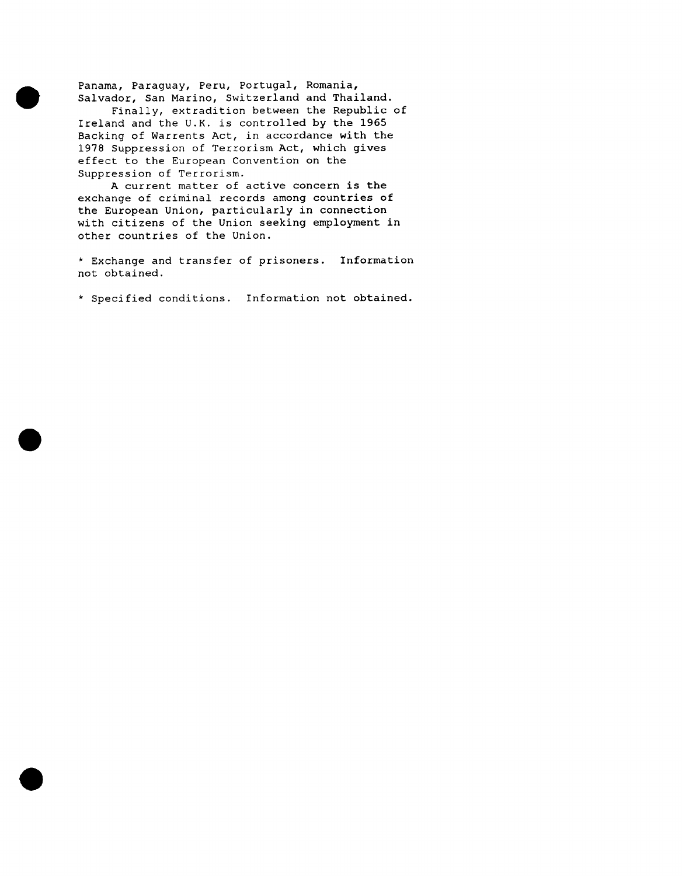Panama, Paraguay, Peru, Portugal, Romania, Salvador, San Marino, Switzerland and Thailand.

Finally, extradition between the Republic of Ireland and the U.K. is controlled by the 1965 Backing of Warrents Act, in accordance with the 1978 Suppression of Terrorism Act, which gives effect to the European Convention on the Suppression of Terrorism.

A current matter of active concern is the exchange of criminal records among countries of the European Union, particularly in connection with citizens of the Union seeking employment in other countries of the Union.

\* Exchange and transfer of prisoners. Information not obtained.

\* Specified conditions. Information not obtained.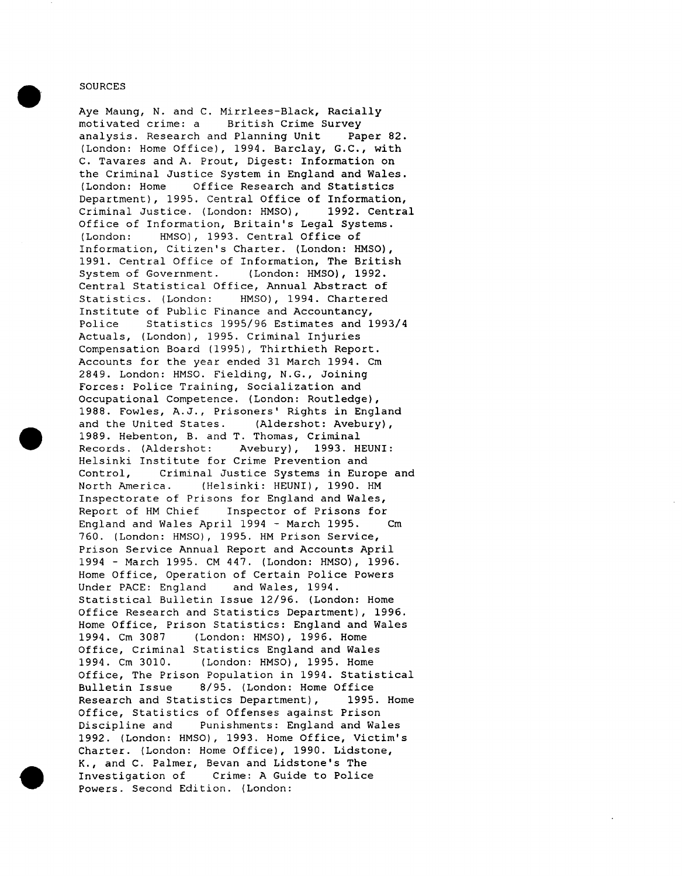#### **SOURCES**

Aye Maung, N. and C. Mirrlees-Black, Racially motivated crime: a British Crime Survey analysis. Research and Planning Unit Paper 82. (London: Home Office), 1994. Barclay, G.C., with C. Tavares and A. Prout, Digest: Information on the Criminal Justice System in England and Wales. (London: Home Office Research and Statistics Department), 1995. Central Office of Information, Criminal Justice. (London: HMSO), 1992. Central Office of Information, Britain's Legal Systems. (London: HMSO), 1993. Central Office of Information, Citizen's Charter. (London: HMSO), 1991. Central Office of Information, The British System of Government. (London: HMSO), 1992. Central Statistical Office, Annual Abstract of Statistics. (London: HMSO), 1994. Chartered Institute of Public Finance and Accountancy, Police Statistics 1995/96 Estimates and 1993/4 Actuals, (London), 1995. Criminal Injuries Compensation Board (1995), Thirthieth Report. Accounts for the year ended 31 March 1994. Cm 2849. London: HMSO. Fielding, N.G., Joining Forces: Police Training, Socialization and Occupational Competence. (London: Routledge), 1988. Fowles, A.J., Prisoners' Rights in England and the United States. (Aldershot: Avebury), 1989. Hebenton, B. and T. Thomas, Criminal Records. (Aldershot: Avebury), 1993. HEUNI: Helsinki Institute for Crime Prevention and Control, Criminal Justice Systems in Europe and North America. (Helsinki: HEUNI), 1990. HM Inspectorate of Prisons for England and Wales, Report of HM Chief Inspector of Prisons for England and Wales April 1994 - March 1995. Cm 760. (London: HMSO), 1995. HM Prison Service, Prison Service Annual Report and Accounts April 1994 - March 1995. CM 447. (London: HMSO), 1996. Home Office, Operation of Certain Police Powers Under PACE: England and Wales, 1994. Statistical Bulletin Issue 12/96. (London: Home Office Research and Statistics Department), 1996. Home Office, Prison Statistics: England and Wales 1994. Cm 3087 (London: HMSO), 1996. Home Office, Criminal Statistics England and Wales 1994. Cm 3010. (London: HMSO), 1995. Home Office, The Prison Population in 1994. Statistical Bulletin Issue 8/95. (London: Home Office Research and Statistics Department), 1995. Home Office, Statistics of Offenses against Prison Discipline and Punishments: England and Wales 1992. (London: HMSO), 1993. Home Office, Victim's Charter. (London: Home Office), 1990. Lidstone, K., and C. Palmer, Bevan and Lidstone's The Investigation of Crime: A Guide to Police Powers. Second Edition. (London: